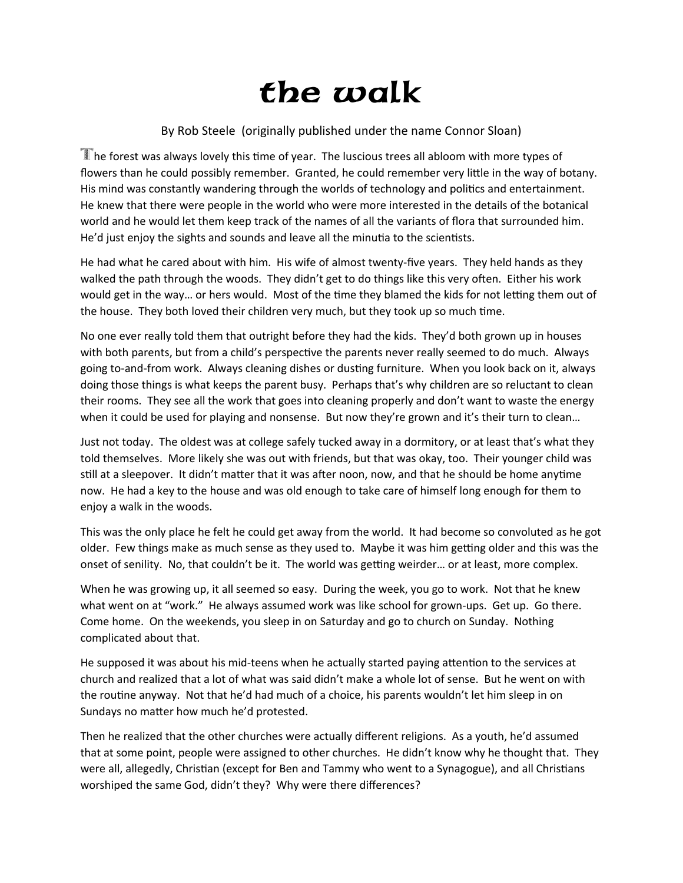## the walk

## By Rob Steele (originally published under the name Connor Sloan)

The forest was always lovely this time of year. The luscious trees all abloom with more types of flowers than he could possibly remember. Granted, he could remember very little in the way of botany. His mind was constantly wandering through the worlds of technology and politics and entertainment. He knew that there were people in the world who were more interested in the details of the botanical world and he would let them keep track of the names of all the variants of flora that surrounded him. He'd just enjoy the sights and sounds and leave all the minutia to the scientists.

He had what he cared about with him. His wife of almost twenty-five years. They held hands as they walked the path through the woods. They didn't get to do things like this very often. Either his work would get in the way… or hers would. Most of the time they blamed the kids for not letting them out of the house. They both loved their children very much, but they took up so much time.

No one ever really told them that outright before they had the kids. They'd both grown up in houses with both parents, but from a child's perspective the parents never really seemed to do much. Always going to-and-from work. Always cleaning dishes or dusting furniture. When you look back on it, always doing those things is what keeps the parent busy. Perhaps that's why children are so reluctant to clean their rooms. They see all the work that goes into cleaning properly and don't want to waste the energy when it could be used for playing and nonsense. But now they're grown and it's their turn to clean...

Just not today. The oldest was at college safely tucked away in a dormitory, or at least that's what they told themselves. More likely she was out with friends, but that was okay, too. Their younger child was still at a sleepover. It didn't matter that it was after noon, now, and that he should be home anytime now. He had a key to the house and was old enough to take care of himself long enough for them to enjoy a walk in the woods.

This was the only place he felt he could get away from the world. It had become so convoluted as he got older. Few things make as much sense as they used to. Maybe it was him getting older and this was the onset of senility. No, that couldn't be it. The world was getting weirder… or at least, more complex.

When he was growing up, it all seemed so easy. During the week, you go to work. Not that he knew what went on at "work." He always assumed work was like school for grown-ups. Get up. Go there. Come home. On the weekends, you sleep in on Saturday and go to church on Sunday. Nothing complicated about that.

He supposed it was about his mid-teens when he actually started paying attention to the services at church and realized that a lot of what was said didn't make a whole lot of sense. But he went on with the routine anyway. Not that he'd had much of a choice, his parents wouldn't let him sleep in on Sundays no matter how much he'd protested.

Then he realized that the other churches were actually different religions. As a youth, he'd assumed that at some point, people were assigned to other churches. He didn't know why he thought that. They were all, allegedly, Christian (except for Ben and Tammy who went to a Synagogue), and all Christians worshiped the same God, didn't they? Why were there differences?